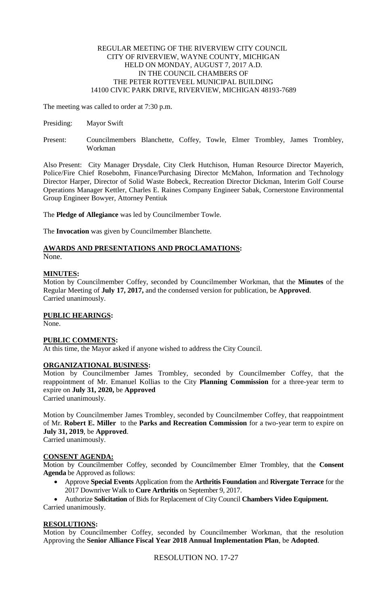# REGULAR MEETING OF THE RIVERVIEW CITY COUNCIL CITY OF RIVERVIEW, WAYNE COUNTY, MICHIGAN HELD ON MONDAY, AUGUST 7, 2017 A.D. IN THE COUNCIL CHAMBERS OF THE PETER ROTTEVEEL MUNICIPAL BUILDING 14100 CIVIC PARK DRIVE, RIVERVIEW, MICHIGAN 48193-7689

The meeting was called to order at 7:30 p.m.

- Presiding: Mayor Swift
- Present: Councilmembers Blanchette, Coffey, Towle, Elmer Trombley, James Trombley, Workman

Also Present: City Manager Drysdale, City Clerk Hutchison, Human Resource Director Mayerich, Police/Fire Chief Rosebohm, Finance/Purchasing Director McMahon, Information and Technology Director Harper, Director of Solid Waste Bobeck, Recreation Director Dickman, Interim Golf Course Operations Manager Kettler, Charles E. Raines Company Engineer Sabak, Cornerstone Environmental Group Engineer Bowyer, Attorney Pentiuk

The **Pledge of Allegiance** was led by Councilmember Towle.

The **Invocation** was given by Councilmember Blanchette.

# **AWARDS AND PRESENTATIONS AND PROCLAMATIONS:**

None.

# **MINUTES:**

Motion by Councilmember Coffey, seconded by Councilmember Workman, that the **Minutes** of the Regular Meeting of **July 17, 2017,** and the condensed version for publication, be **Approved**. Carried unanimously.

# **PUBLIC HEARINGS:**

None.

# **PUBLIC COMMENTS:**

At this time, the Mayor asked if anyone wished to address the City Council.

# **ORGANIZATIONAL BUSINESS:**

Motion by Councilmember James Trombley, seconded by Councilmember Coffey, that the reappointment of Mr. Emanuel Kollias to the City **Planning Commission** for a three-year term to expire on **July 31, 2020,** be **Approved** Carried unanimously.

Motion by Councilmember James Trombley, seconded by Councilmember Coffey, that reappointment of Mr. **Robert E. Miller** to the **Parks and Recreation Commission** for a two-year term to expire on **July 31, 2019**, be **Approved**.

Carried unanimously.

# **CONSENT AGENDA:**

Motion by Councilmember Coffey, seconded by Councilmember Elmer Trombley, that the **Consent Agenda** be Approved as follows:

 Approve **Special Events** Application from the **Arthritis Foundation** and **Rivergate Terrace** for the 2017 Downriver Walk to **Cure Arthritis** on September 9, 2017.

 Authorize **Solicitation** of Bids for Replacement of City Council **Chambers Video Equipment.** Carried unanimously.

# **RESOLUTIONS:**

Motion by Councilmember Coffey, seconded by Councilmember Workman, that the resolution Approving the **Senior Alliance Fiscal Year 2018 Annual Implementation Plan**, be **Adopted**.

RESOLUTION NO. 17-27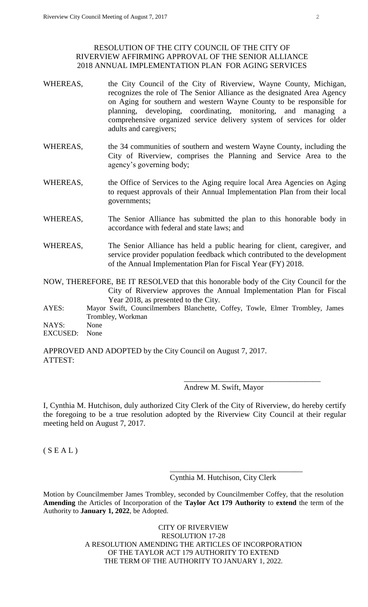# RESOLUTION OF THE CITY COUNCIL OF THE CITY OF RIVERVIEW AFFIRMING APPROVAL OF THE SENIOR ALLIANCE 2018 ANNUAL IMPLEMENTATION PLAN FOR AGING SERVICES

- WHEREAS, the City Council of the City of Riverview, Wayne County, Michigan, recognizes the role of The Senior Alliance as the designated Area Agency on Aging for southern and western Wayne County to be responsible for planning, developing, coordinating, monitoring, and managing a comprehensive organized service delivery system of services for older adults and caregivers;
- WHEREAS, the 34 communities of southern and western Wayne County, including the City of Riverview, comprises the Planning and Service Area to the agency's governing body;
- WHEREAS, the Office of Services to the Aging require local Area Agencies on Aging to request approvals of their Annual Implementation Plan from their local governments;
- WHEREAS, The Senior Alliance has submitted the plan to this honorable body in accordance with federal and state laws; and
- WHEREAS, The Senior Alliance has held a public hearing for client, caregiver, and service provider population feedback which contributed to the development of the Annual Implementation Plan for Fiscal Year (FY) 2018.

NOW, THEREFORE, BE IT RESOLVED that this honorable body of the City Council for the City of Riverview approves the Annual Implementation Plan for Fiscal Year 2018, as presented to the City.

AYES: Mayor Swift, Councilmembers Blanchette, Coffey, Towle, Elmer Trombley, James Trombley, Workman

NAYS: None

EXCUSED: None

APPROVED AND ADOPTED by the City Council on August 7, 2017. ATTEST:

# Andrew M. Swift, Mayor

 $\frac{1}{\sqrt{2\pi}}$  ,  $\frac{1}{\sqrt{2\pi}}$  ,  $\frac{1}{\sqrt{2\pi}}$  ,  $\frac{1}{\sqrt{2\pi}}$  ,  $\frac{1}{\sqrt{2\pi}}$  ,  $\frac{1}{\sqrt{2\pi}}$  ,  $\frac{1}{\sqrt{2\pi}}$  ,  $\frac{1}{\sqrt{2\pi}}$  ,  $\frac{1}{\sqrt{2\pi}}$  ,  $\frac{1}{\sqrt{2\pi}}$  ,  $\frac{1}{\sqrt{2\pi}}$  ,  $\frac{1}{\sqrt{2\pi}}$  ,  $\frac{1}{\sqrt{2\pi}}$  ,

I, Cynthia M. Hutchison, duly authorized City Clerk of the City of Riverview, do hereby certify the foregoing to be a true resolution adopted by the Riverview City Council at their regular meeting held on August 7, 2017.

 $(S E A L)$ 

Cynthia M. Hutchison, City Clerk

\_\_\_\_\_\_\_\_\_\_\_\_\_\_\_\_\_\_\_\_\_\_\_\_\_\_\_\_\_\_\_\_\_\_

Motion by Councilmember James Trombley, seconded by Councilmember Coffey, that the resolution **Amending** the Articles of Incorporation of the **Taylor Act 179 Authority** to **extend** the term of the Authority to **January 1, 2022**, be Adopted.

> CITY OF RIVERVIEW RESOLUTION 17-28 A RESOLUTION AMENDING THE ARTICLES OF INCORPORATION OF THE TAYLOR ACT 179 AUTHORITY TO EXTEND THE TERM OF THE AUTHORITY TO JANUARY 1, 2022.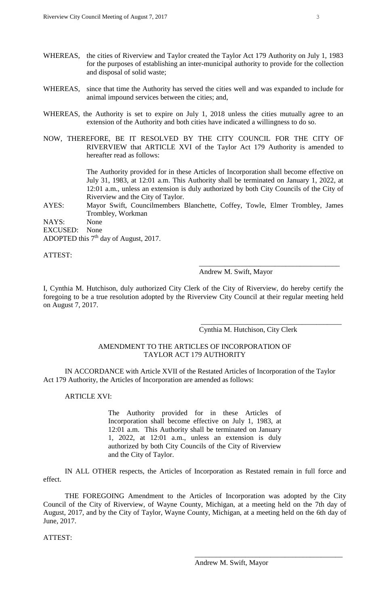- WHEREAS, the cities of Riverview and Taylor created the Taylor Act 179 Authority on July 1, 1983 for the purposes of establishing an inter-municipal authority to provide for the collection and disposal of solid waste;
- WHEREAS, since that time the Authority has served the cities well and was expanded to include for animal impound services between the cities; and,
- WHEREAS, the Authority is set to expire on July 1, 2018 unless the cities mutually agree to an extension of the Authority and both cities have indicated a willingness to do so.
- NOW, THEREFORE, BE IT RESOLVED BY THE CITY COUNCIL FOR THE CITY OF RIVERVIEW that ARTICLE XVI of the Taylor Act 179 Authority is amended to hereafter read as follows:

The Authority provided for in these Articles of Incorporation shall become effective on July 31, 1983, at 12:01 a.m. This Authority shall be terminated on January 1, 2022, at 12:01 a.m., unless an extension is duly authorized by both City Councils of the City of Riverview and the City of Taylor.

AYES: Mayor Swift, Councilmembers Blanchette, Coffey, Towle, Elmer Trombley, James Trombley, Workman

NAYS: None EXCUSED: None ADOPTED this 7<sup>th</sup> day of August, 2017.

ATTEST:

Andrew M. Swift, Mayor

I, Cynthia M. Hutchison, duly authorized City Clerk of the City of Riverview, do hereby certify the foregoing to be a true resolution adopted by the Riverview City Council at their regular meeting held on August 7, 2017.

Cynthia M. Hutchison, City Clerk

\_\_\_\_\_\_\_\_\_\_\_\_\_\_\_\_\_\_\_\_\_\_\_\_\_\_\_\_\_\_\_\_\_\_\_\_\_\_\_

\_\_\_\_\_\_\_\_\_\_\_\_\_\_\_\_\_\_\_\_\_\_\_\_\_\_\_\_\_\_\_\_\_\_\_\_\_\_\_

### AMENDMENT TO THE ARTICLES OF INCORPORATION OF TAYLOR ACT 179 AUTHORITY

IN ACCORDANCE with Article XVII of the Restated Articles of Incorporation of the Taylor Act 179 Authority, the Articles of Incorporation are amended as follows:

### ARTICLE XVI:

The Authority provided for in these Articles of Incorporation shall become effective on July 1, 1983, at 12:01 a.m. This Authority shall be terminated on January 1, 2022, at 12:01 a.m., unless an extension is duly authorized by both City Councils of the City of Riverview and the City of Taylor.

IN ALL OTHER respects, the Articles of Incorporation as Restated remain in full force and effect.

THE FOREGOING Amendment to the Articles of Incorporation was adopted by the City Council of the City of Riverview, of Wayne County, Michigan, at a meeting held on the 7th day of August, 2017, and by the City of Taylor, Wayne County, Michigan, at a meeting held on the 6th day of June, 2017.

ATTEST:

\_\_\_\_\_\_\_\_\_\_\_\_\_\_\_\_\_\_\_\_\_\_\_\_\_\_\_\_\_\_\_\_\_\_\_\_\_\_\_\_\_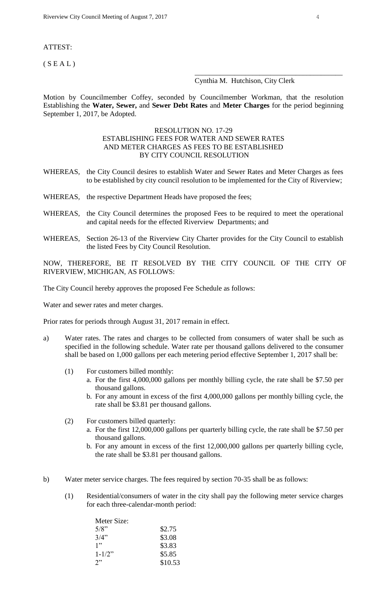#### ATTEST:

 $(S E A L)$ 

#### Cynthia M. Hutchison, City Clerk

\_\_\_\_\_\_\_\_\_\_\_\_\_\_\_\_\_\_\_\_\_\_\_\_\_\_\_\_\_\_\_\_\_\_\_\_\_\_\_\_\_

Motion by Councilmember Coffey, seconded by Councilmember Workman, that the resolution Establishing the **Water, Sewer,** and **Sewer Debt Rates** and **Meter Charges** for the period beginning September 1, 2017, be Adopted.

### RESOLUTION NO. 17-29 ESTABLISHING FEES FOR WATER AND SEWER RATES AND METER CHARGES AS FEES TO BE ESTABLISHED BY CITY COUNCIL RESOLUTION

- WHEREAS, the City Council desires to establish Water and Sewer Rates and Meter Charges as fees to be established by city council resolution to be implemented for the City of Riverview;
- WHEREAS, the respective Department Heads have proposed the fees;
- WHEREAS, the City Council determines the proposed Fees to be required to meet the operational and capital needs for the effected Riverview Departments; and
- WHEREAS, Section 26-13 of the Riverview City Charter provides for the City Council to establish the listed Fees by City Council Resolution.

NOW, THEREFORE, BE IT RESOLVED BY THE CITY COUNCIL OF THE CITY OF RIVERVIEW, MICHIGAN, AS FOLLOWS:

The City Council hereby approves the proposed Fee Schedule as follows:

Water and sewer rates and meter charges.

Prior rates for periods through August 31, 2017 remain in effect.

- a) Water rates. The rates and charges to be collected from consumers of water shall be such as specified in the following schedule. Water rate per thousand gallons delivered to the consumer shall be based on 1,000 gallons per each metering period effective September 1, 2017 shall be:
	- (1) For customers billed monthly:
		- a. For the first 4,000,000 gallons per monthly billing cycle, the rate shall be \$7.50 per thousand gallons.
		- b. For any amount in excess of the first 4,000,000 gallons per monthly billing cycle, the rate shall be \$3.81 per thousand gallons.
	- (2) For customers billed quarterly:
		- a. For the first 12,000,000 gallons per quarterly billing cycle, the rate shall be \$7.50 per thousand gallons.
		- b. For any amount in excess of the first 12,000,000 gallons per quarterly billing cycle, the rate shall be \$3.81 per thousand gallons.
- b) Water meter service charges. The fees required by section 70-35 shall be as follows:
	- (1) Residential/consumers of water in the city shall pay the following meter service charges for each three-calendar-month period:

| Meter Size: |         |
|-------------|---------|
| $5/8$ "     | \$2.75  |
| 3/4"        | \$3.08  |
| 1"          | \$3.83  |
| $1 - 1/2$ " | \$5.85  |
| 2"          | \$10.53 |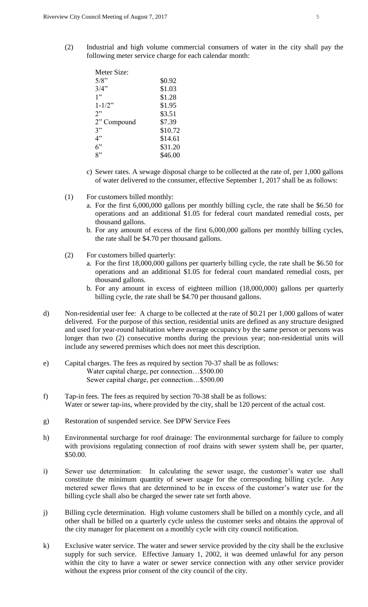(2) Industrial and high volume commercial consumers of water in the city shall pay the following meter service charge for each calendar month:

| Meter Size: |         |
|-------------|---------|
| $5/8$ "     | \$0.92  |
| 3/4"        | \$1.03  |
| 1"          | \$1.28  |
| $1 - 1/2$ " | \$1.95  |
| 2"          | \$3.51  |
| 2" Compound | \$7.39  |
| 3"          | \$10.72 |
| 4"          | \$14.61 |
| 6"          | \$31.20 |
| יי          | \$46.00 |

- c) Sewer rates. A sewage disposal charge to be collected at the rate of, per 1,000 gallons of water delivered to the consumer, effective September 1, 2017 shall be as follows:
- (1) For customers billed monthly:
	- a. For the first 6,000,000 gallons per monthly billing cycle, the rate shall be \$6.50 for operations and an additional \$1.05 for federal court mandated remedial costs, per thousand gallons.
	- b. For any amount of excess of the first 6,000,000 gallons per monthly billing cycles, the rate shall be \$4.70 per thousand gallons.
- (2) For customers billed quarterly:
	- a. For the first 18,000,000 gallons per quarterly billing cycle, the rate shall be \$6.50 for operations and an additional \$1.05 for federal court mandated remedial costs, per thousand gallons.
	- b. For any amount in excess of eighteen million (18,000,000) gallons per quarterly billing cycle, the rate shall be \$4.70 per thousand gallons.
- d) Non-residential user fee: A charge to be collected at the rate of \$0.21 per 1,000 gallons of water delivered. For the purpose of this section, residential units are defined as any structure designed and used for year-round habitation where average occupancy by the same person or persons was longer than two (2) consecutive months during the previous year; non-residential units will include any sewered premises which does not meet this description.
- e) Capital charges. The fees as required by section 70-37 shall be as follows: Water capital charge, per connection…\$500.00 Sewer capital charge, per connection…\$500.00
- f) Tap-in fees. The fees as required by section 70-38 shall be as follows: Water or sewer tap-ins, where provided by the city, shall be 120 percent of the actual cost.
- g) Restoration of suspended service. See DPW Service Fees
- h) Environmental surcharge for roof drainage: The environmental surcharge for failure to comply with provisions regulating connection of roof drains with sewer system shall be, per quarter, \$50.00.
- i) Sewer use determination: In calculating the sewer usage, the customer's water use shall constitute the minimum quantity of sewer usage for the corresponding billing cycle. Any metered sewer flows that are determined to be in excess of the customer's water use for the billing cycle shall also be charged the sewer rate set forth above.
- j) Billing cycle determination. High volume customers shall be billed on a monthly cycle, and all other shall be billed on a quarterly cycle unless the customer seeks and obtains the approval of the city manager for placement on a monthly cycle with city council notification.
- k) Exclusive water service. The water and sewer service provided by the city shall be the exclusive supply for such service. Effective January 1, 2002, it was deemed unlawful for any person within the city to have a water or sewer service connection with any other service provider without the express prior consent of the city council of the city.